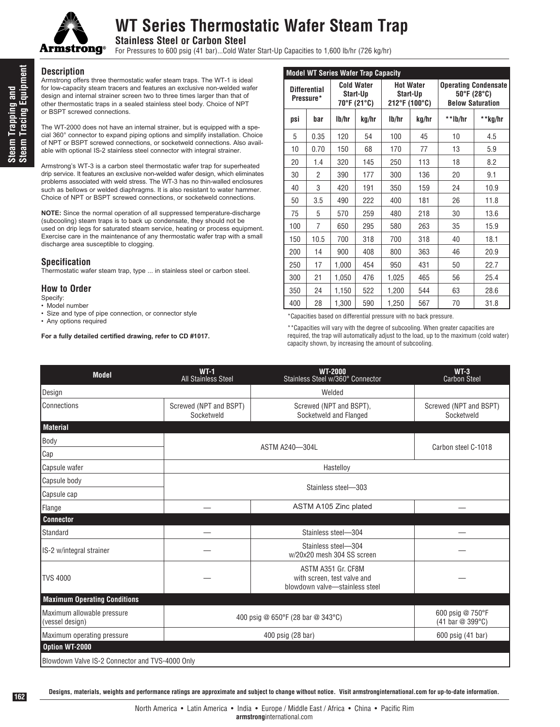

## **WT Series Thermostatic Wafer Steam Trap**

**Stainless Steel or Carbon Steel**

For Pressures to 600 psig (41 bar)...Cold Water Start-Up Capacities to 1,600 lb/hr (726 kg/hr)

#### **Description**

Armstrong offers three thermostatic wafer steam traps. The WT-1 is ideal for low-capacity steam tracers and features an exclusive non-welded wafer design and internal strainer screen two to three times larger than that of other thermostatic traps in a sealed stainless steel body. Choice of NPT or BSPT screwed connections.

The WT-2000 does not have an internal strainer, but is equipped with a special 360° connector to expand piping options and simplify installation. Choice of NPT or BSPT screwed connections, or socketweld connections. Also available with optional IS-2 stainless steel connector with integral strainer.

Armstrong's WT-3 is a carbon steel thermostatic wafer trap for superheated drip service. It features an exclusive non-welded wafer design, which eliminates problems associated with weld stress. The WT-3 has no thin-walled enclosures such as bellows or welded diaphragms. It is also resistant to water hammer. Choice of NPT or BSPT screwed connections, or socketweld connections.

**NOTE:** Since the normal operation of all suppressed temperature-discharge (subcooling) steam traps is to back up condensate, they should not be used on drip legs for saturated steam service, heating or process equipment. Exercise care in the maintenance of any thermostatic wafer trap with a small discharge area susceptible to clogging.

#### **Specification**

Thermostatic wafer steam trap, type ... in stainless steel or carbon steel.

## **How to Order**

- Specify:
- Model number
- Size and type of pipe connection, or connector style
- Any options required

**For a fully detailed certified drawing, refer to CD #1017.**

| <b>Model WT Series Wafer Trap Capacity</b> |                |                                              |       |                                               |       |                                                                                            |         |  |
|--------------------------------------------|----------------|----------------------------------------------|-------|-----------------------------------------------|-------|--------------------------------------------------------------------------------------------|---------|--|
| <b>Differential</b><br>Pressure*           |                | <b>Cold Water</b><br>Start-Up<br>70°F (21°C) |       | <b>Hot Water</b><br>Start-Up<br>212°F (100°C) |       | <b>Operating Condensate</b><br>$50^{\circ}$ F (28 $^{\circ}$ C)<br><b>Below Saturation</b> |         |  |
| psi                                        | bar            | lb/hr                                        | kg/hr | lb/hr                                         | kg/hr | **lb/hr                                                                                    | **kg/hr |  |
| 5                                          | 0.35           | 120                                          | 54    | 100                                           | 45    | 10                                                                                         | 4.5     |  |
| 10                                         | 0.70           | 150                                          | 68    | 170                                           | 77    | 13                                                                                         | 5.9     |  |
| 20                                         | 1.4            | 320                                          | 145   | 250                                           | 113   | 18                                                                                         | 8.2     |  |
| 30                                         | $\overline{2}$ | 390                                          | 177   | 300                                           | 136   | 20                                                                                         | 9.1     |  |
| 40                                         | 3              | 420                                          | 191   | 350                                           | 159   | 24                                                                                         | 10.9    |  |
| 50                                         | 3.5            | 490                                          | 222   | 400                                           | 181   | 26                                                                                         | 11.8    |  |
| 75                                         | 5              | 570                                          | 259   | 480                                           | 218   | 30                                                                                         | 13.6    |  |
| 100                                        | 7              | 650                                          | 295   | 580                                           | 263   | 35                                                                                         | 15.9    |  |
| 150                                        | 10.5           | 700                                          | 318   | 700                                           | 318   | 40                                                                                         | 18.1    |  |
| 200                                        | 14             | 900                                          | 408   | 800                                           | 363   | 46                                                                                         | 20.9    |  |
| 250                                        | 17             | 1,000                                        | 454   | 950                                           | 431   | 50                                                                                         | 22.7    |  |
| 300                                        | 21             | 1,050                                        | 476   | 1.025                                         | 465   | 56                                                                                         | 25.4    |  |
| 350                                        | 24             | 1.150                                        | 522   | 1,200                                         | 544   | 63                                                                                         | 28.6    |  |
| 400                                        | 28             | 1,300                                        | 590   | 1.250                                         | 567   | 70                                                                                         | 31.8    |  |

\*Capacities based on differential pressure with no back pressure.

\*\*Capacities will vary with the degree of subcooling. When greater capacities are required, the trap will automatically adjust to the load, up to the maximum (cold water) capacity shown, by increasing the amount of subcooling.

| <b>Model</b>                                    | $WT-1$<br>All Stainless Steel        | <b>WT-2000</b><br>Stainless Steel w/360° Connector                                  | $WT-3$<br><b>Carbon Steel</b>        |  |  |  |
|-------------------------------------------------|--------------------------------------|-------------------------------------------------------------------------------------|--------------------------------------|--|--|--|
| Design                                          |                                      | Welded                                                                              |                                      |  |  |  |
| Connections                                     | Screwed (NPT and BSPT)<br>Socketweld | Screwed (NPT and BSPT),<br>Socketweld and Flanged                                   | Screwed (NPT and BSPT)<br>Socketweld |  |  |  |
| <b>Material</b>                                 |                                      |                                                                                     |                                      |  |  |  |
| Body                                            |                                      |                                                                                     |                                      |  |  |  |
| Cap                                             |                                      | ASTM A240-304L                                                                      | Carbon steel C-1018                  |  |  |  |
| Capsule wafer                                   |                                      | Hastelloy                                                                           |                                      |  |  |  |
| Capsule body                                    |                                      |                                                                                     |                                      |  |  |  |
| Capsule cap                                     | Stainless steel-303                  |                                                                                     |                                      |  |  |  |
| Flange                                          | ASTM A105 Zinc plated                |                                                                                     |                                      |  |  |  |
| <b>Connector</b>                                |                                      |                                                                                     |                                      |  |  |  |
| Standard                                        |                                      | Stainless steel-304                                                                 |                                      |  |  |  |
| <b>IS-2 w/integral strainer</b>                 |                                      | Stainless steel-304<br>w/20x20 mesh 304 SS screen                                   |                                      |  |  |  |
| <b>TVS 4000</b>                                 |                                      | ASTM A351 Gr. CF8M<br>with screen, test valve and<br>blowdown valve-stainless steel |                                      |  |  |  |
| <b>Maximum Operating Conditions</b>             |                                      |                                                                                     |                                      |  |  |  |
| Maximum allowable pressure<br>(vessel design)   |                                      | 400 psig @ 650°F (28 bar @ 343°C)                                                   | 600 psig @ 750°F<br>(41 bar @ 399°C) |  |  |  |
| Maximum operating pressure                      |                                      | 600 psig (41 bar)                                                                   |                                      |  |  |  |
| Option WT-2000                                  |                                      |                                                                                     |                                      |  |  |  |
| Blowdown Valve IS-2 Connector and TVS-4000 Only |                                      |                                                                                     |                                      |  |  |  |

**Designs, materials, weights and performance ratings are approximate and subject to change without notice. Visit armstronginternational.com for up-to-date information.**